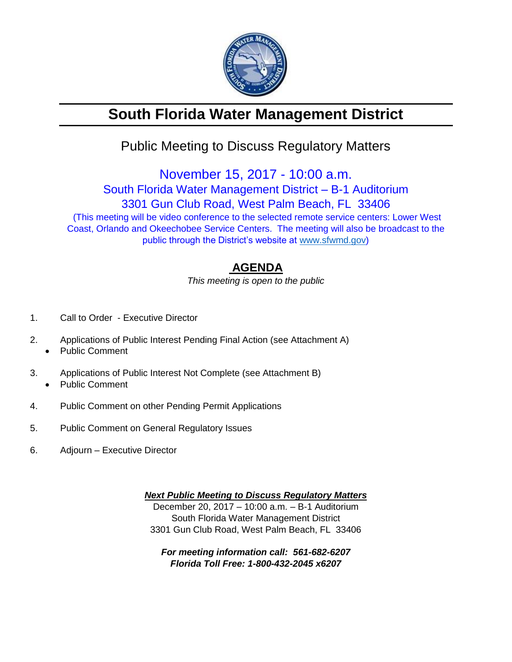

# **South Florida Water Management District**

## Public Meeting to Discuss Regulatory Matters

November 15, 2017 - 10:00 a.m. South Florida Water Management District – B-1 Auditorium 3301 Gun Club Road, West Palm Beach, FL 33406 (This meeting will be video conference to the selected remote service centers: Lower West

Coast, Orlando and Okeechobee Service Centers. The meeting will also be broadcast to the public through the District's website at [www.sfwmd.gov\)](http://www.sfwmd.gov/)

### **AGENDA**

*This meeting is open to the public*

- 1. Call to Order Executive Director
- 2. Applications of Public Interest Pending Final Action (see Attachment A)
	- Public Comment
- 3. Applications of Public Interest Not Complete (see Attachment B) • Public Comment
- 4. Public Comment on other Pending Permit Applications
- 5. Public Comment on General Regulatory Issues
- 6. Adjourn Executive Director

*Next Public Meeting to Discuss Regulatory Matters* December 20, 2017 – 10:00 a.m. – B-1 Auditorium South Florida Water Management District 3301 Gun Club Road, West Palm Beach, FL 33406

*For meeting information call: 561-682-6207 Florida Toll Free: 1-800-432-2045 x6207*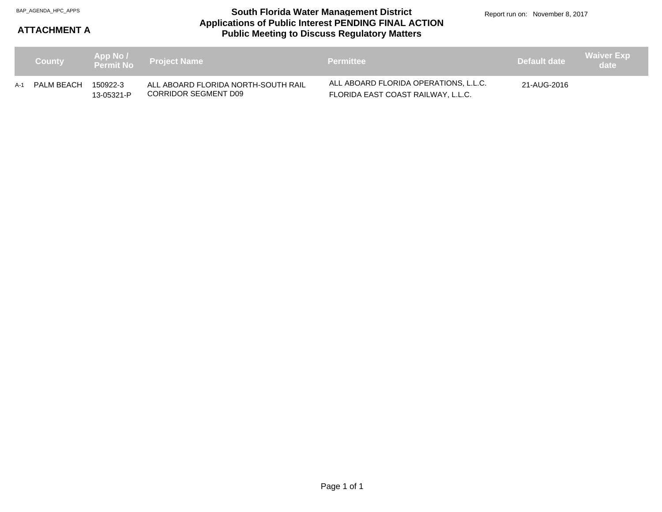#### **Applications of Public Interest PENDING FINAL ACTION Public Meeting to Discuss Regulatory Matters** BAP\_AGENDA\_HPC\_APPS **South Florida Water Management District**

Report run on: November 8, 2017

### **ATTACHMENT A**

| <b>County</b>  |                        | App No 7<br>Permit No Project Name                          | <b>Permittee</b>                                                            | Default date | / Waiver Exp,<br>date \ |
|----------------|------------------------|-------------------------------------------------------------|-----------------------------------------------------------------------------|--------------|-------------------------|
| A-1 PALM BEACH | 150922-3<br>13-05321-P | ALL ABOARD FLORIDA NORTH-SOUTH RAIL<br>CORRIDOR SEGMENT D09 | ALL ABOARD FLORIDA OPERATIONS, L.L.C.<br>FLORIDA EAST COAST RAILWAY, L.L.C. | 21-AUG-2016  |                         |